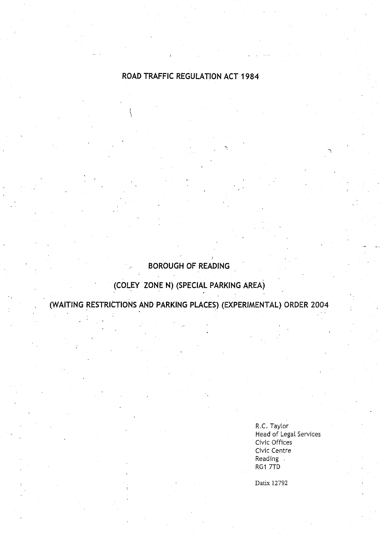# **ROAD TRAFFIC REGULATION** ACT 1984

# **BOROUGH OF READING**

# **(COLEY ZONE N) (SPECIAL PARKING AREA )**

**(WAITING RESTRICTIONS AND PARKING PLACES) (EXPERIMENTAL** ) **ORDER 2004**

R.C. Taylor **Head** of Legal Services Civic Offices Civic Centre **Reading** RG1 7TD

Datix 12792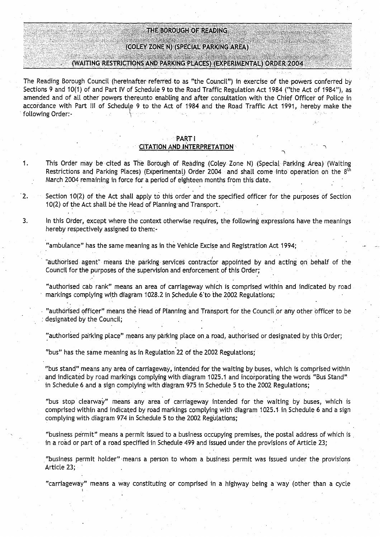#### THE BOROUGH OF READING

#### (COLEY ZONE N) (SPECIAL PARKING AREA )

### (WAITING **RESTRICTIONS AND PARKING PLACES) (EXPERIMENTAL** ) **ORDER 200 4**

**The Reading Borough Council** (**hereinafter**: **referred to as "the Council** ") **in exercise of the powers conferred by** Sections 9 and 10(1) of and Part IV of Schedule 9 to the Road Traffic Regulation Act 1984 ("the Act of 1984"), as **amended and of all other powers thereunto enabling and after consultation** with **the Chief Officer of Police in accordance with Pa** rt **III of Schedule 9 to the Act of 1984 and the Road Traffic Act 1991, hereby make the** following **Order :-**

#### **PARTI**

#### **CITATION AND INTERPRETATION**

- **<sup>1</sup> . This Order may be cited as The Borough of Reading** (**Coley Zone N**) .(**Special Parking Area** ) (**Waiting Restrictions and Parking Places**) (**Experimental**) Order 2004 **and** shalt **come** into **operation on the 8th March 2004 remaining in force for a pe** ri**od of eighteen months from this date .**
- **<sup>2</sup> . Section 10**(**2) of the Act** shalt **apply to this order and the specified officer for the purposes of Section 10(2) of the Act shall be the Head of Planning-and Transport .**
- **<sup>3</sup> . In this Order**, **except where the context otherwise requires, the following expressions have the meanings hereby respectively assigned to them :-**

**"ambulance** " **has the same meaning as in the Vehicle Excise and Registration** Act 1994;

**"authorised agent**" **means the parking services contractor appointed by and acting** on **behalf of the** Council for the purposes of the supervision and enforcement of this Order;

**"authorised cab rank" means an area of carriageway which is**. **comprised within and indicated by road markings complying with diagram 1028 .2 in Schedule** 6.1o the **2002 Regulations;**

**"authorised officer" means the Head of Planning and Transport for the Councilor any other officer to be designated by the Council ;**

**"authorised parking place** " **means any parking place on .a road, authorised or designated by this Order ;**

"bus" has the same meaning as in Regulation 22 of the 2002 Regulations;

**"bus stand**" **means any area of car**ri**ageway**, **intended**, **for the waiting by buses**, **which is comprised within and indicated by road markings complying with diagram 1025 .1 and incorporating the words** "**Bus** Stand" in Schedule 6 and a sign complying with diagram 975 in Schedule 5 to the 2002 Regulations;

**"bus stop clearway** " **means any area of carriageway intended for the waiting by buses** , which is **comprised**- **within and indicated by road markings complying with diagram 1025** . **1 in Schedule 6 and a sign complying with**. **diagram 974 in Schedule 5 to the 2002 Regulations; .**

**"business permit** " **means a permit issued to a business occupying premises, the postal address** of which is **in a road or part of a road specified in Schedule 499 and issued under the provisions of Article 23 ;**

**"business permit holder** " **means a person to whom a business permit was issued under the provisions** Article 23;

**"carriageway** " **means a way constituting or comprised in a highway being a 'way (other than a cycle**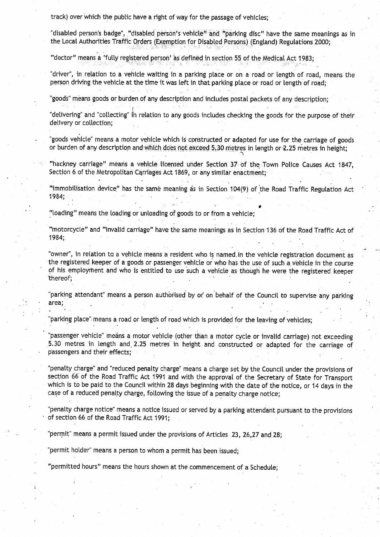track) over which the public have a right of way for the passage of vehicles;

"disabled person's badge", "disabled\_ person's vehicle" and "parking disc" have the same meanings as in the Local Authorities Traffic Orders (Exemption for Disabled Persons) (England) Regulations 2000;

"doctor" means a 'fully registered person' as defined in section 55 of the Medical Act 1983;

"driver", in relation to a vehicle waiting in a parking place or on a road or length of road, means the person driving the vehicle at the time it was left in that parking place or road or length of road;

"goods" means goods or burden of any description and includes postal packets of any description;

"delivering" and "collecting" in relation to any goods includes checking the goods for the purpose of their delivery or collection;

"goods vehicle" means a motor vehicle which is constructed or adapted for use for the carriage of goods or burden of any description and which does not exceed 5,30 metres in length or 2.25 metres in height;

"hackney carriage" means a vehicle licensed under Section 37 of the Town Police Causes Act 1847, Section 6 of the Metropolitan Carriages Act 1869, or any similar enactment;

"immobilisation device" has the same meaning as in Section 104(9) of the Road Traffic Regulation Act 1984;

**e**

"loading" means the loading or unloading of goods to or from a vehicle;

"motorcycle" and "invalid carriage" have the same meanings as in Section 136 of the Road Traffic Act of 1984;

"owner", in relation to a vehicle means a resident who is named in the vehicle registration document as the registered keeper of a goods or passenger vehicle or who has the use of such a vehicle in the course of his employment and who is entitled to use such a vehicle as though he were the registered keeper thereof;

"parking attendant" means a person authorised by or on behalf of the Council to supervise any parking area;

"parking place" means a road or length of road which is provided for the leaving of vehicles; .

passenger vehicle" means a motor vehicle (other than a motor cycle or invalid carriage) not exceeding 5.30 metres in length and 2.25 metres in height and constructed or adapted for the carriage of passengers and their effects;

"penalty charge" and "reduced penalty charge" means a charge set by the Council under the provisions of section 66 of the Road Traffic Act 1991 and with the approval of the Secretary of State for Transport which is to be paid to the Council within 28 days beginning with the date of the notice, or 14 days in the case of a reduced penalty charge, following the issue of a penalty charge notice;

"penalty charge notice" means a notice issued or served by a parking attendant pursuant to the provisions of section 66 of the Road Traffic Act 1991;

"permit" means a permit issued under the provisions of Articles 23, 26,27 and 28;

"permit holder" means a person to whom a permit has been issued;

"permitted hours" means the hours shown at the commencement of a Schedule;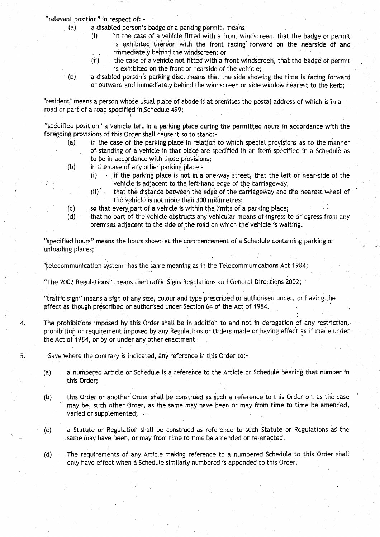"relevant position" in respect of: -

- (a) a disabled person's badge or a parking permit, means
	- (i) in the case of a vehicle fitted with a front windscreen, that the badge or permit is exhibited thereon with the front facing forward on the nearside of and immediately behind the windscreen; or
	- (ii) the case of a vehicle not fitted with a front windscreen, that the badge or permit is exhibited on the front or nearside of the vehicle;
- (b) a disabled person's parking disc, means that the side showing the time is facing forward or outward and immediately behind the windscreen or side window nearest to the kerb;

"resident" means a person whose usual place of abode is at premises the postal address of which is 'in a road or part of a road specified in Schedule 499;

"specified position" a vehicle left in a parking place during the permitted hours in accordance with the foregoing provisions of this Order **shall cause** it so to stand:-

- (a) in the case of the parking place in relation to which special provisions as to the manner of standing of a vehicle in that placg are specified in an item specified in a Schedule as to be in accordance with those provisions;
- (b) ' in the case of any other parking place
	-
	- (i)  $\cdots$  if the parking place is not in a one-way street, that the left or near-side of the vehicle is adjacent to the left-hand edge of the carriageway;
	- (ii) that the distance between the edge of the carriageway 'and the nearest wheel of the vehicle is not more than 300 millimetres;
- $(c)$  iso that every part of a vehicle is within the limits of a parking place;
- (d) that no part of the vehicle obstructs any vehicular means of ingress to or egress from any premises adjacent to the side of the road on which the vehicle is waiting.

"specified hours" means the hours shown at the commencement of a Schedule containing parking or unloading places;

"telecommunication system" has the same **meaning as** in the Telecommunications Act 1984;

"The 2002 Regulations" means the-Traffic Signs Regulations and General Directions 2002 ;

"traffic sign" means a sign of any size, colour and type prescribed or authorised under, or having the effect as though prescribed or authorised under Section 64 of the Act of 1984 .

4. The prohibitions imposed by this Order shall be in-addition to and not in derogation of any restriction, prohibition or requirement imposed by any Regulations or Orders made or having effect as if made under the Act of 1984, or by or under any other enactment.

5. Save where the contrary is indicated, any reference in this Order to:-

- (a) a numbered Article or Schedule is a reference to the Article or Schedule bearing that number in this Order;
- (b) this Order or another Order shall be construed as such a reference to this Order or, as the case may be, such other Order, as the same may have been or may from time to time be amended, varied or supplemented; .
- (c) a Statute or Regulation shall be construed as reference to such Statute or Regulations as the same may have been, or may from time to time be amended or re-enacted .

(d) The requirements of any Article making reference to a numbered Schedule to this Order shalt only have effect when a Schedule similarly numbered is appended to this Order.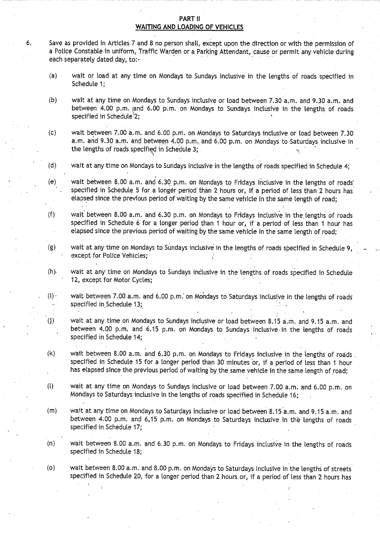#### **PART II WAiTING** .**AND LOADING OF VEHICLES**

- **6. Save as provided in A**rt**icles 7 and 8 no person shall, except upon the direction or with the permission of a Police** Constable-in **uniform, Traffic Warden or a Parking Attendant** , **cause or permit any vehicle during each separately dated day, to:-**
	- **(a) wait or load at any time on Mondays to Sundays inclusive in the lengths of roads specified in Schedule 1 ;**
	- **(b) wait at any time on Mondays to Sundays inclusive or load between 7 .30 a.m. and 9 .30 a .m . and between 4**. **00 p.m**. and **6.00 p.m**. **on Mondays to Sundays inclusive in the lengths of roads specified in Schedule'2; °**
	- **(c) wait between 7.00 a**.**<sup>m</sup> . and 6 .00 p** .**<sup>m</sup> . on Mondays to Saturdays inclusive or load between 7 .30 a.m . and 9** . **30 a.** .m **. and between 4 .00 p.m**. **and, 6 .00 p.m** . **on Mondays** to-Saturdays **inclusive in the lengths of roads specified in Schedule 3;**
	- **(d) wait at any time on Mondays to Sundays inclusive in the lengths of roads specified in Schedule 4 ;**
	- **(e) wait between 8.00 a .m**. **and- 6 .30 p .m**. **on Mondays to Fridays inclusive in the lengths of roads'** specified in Schedule 5 for a longer period than 2 hours or, if a period of less than 2 hours has elapsed since the previous period of waiting by the same vehicle in the same length of road;
	- **(f) wait between 8.00 a.m. and 6 .30 p**.**m. on Mondays to F**ri**days inclusive in the**. **lengths of roads specified in Schedule 6 for a longer period than 1 hour or** , **if a period of less than 1 hour has elapsed since the previous period of waiting by the same vehicle in the same length of road ;**
	- (g) wait at any time on Mondays to Sundays inclusive in the lengths of roads specified in Schedule 9 **except for Police Vehicles ;**
	- **(h). wait at any time on Mondays to Sundays inclusive in the lengths of roads specified in Schedule** 12, except for Motor Cycles;
	- **(i) wait-between 7.00 a.m** . **and 6 .00 p .m . on Mondays to Saturdays inclusive in the lengths of roads specified in**. **Schedule 13;**
	- **(j) wait at anytime on Mondays to Sundays inclusive or load between 8 .15 a .m**. **and 9** . **15 a .m . and between 4**.**00 p.m. and 6**. **15 p.m . on Mondays to Sundays** - **inclusive** - **in the lengths of roads specified in Schedule 14;**
	- **(k) wait between 8**. **00 a .m** . **and 6.30 p** . **<sup>m</sup> . on Mondays to Fridays inclusive in the lengths of roads specified in Schedule 15 for a longer period than 30 minutes** or, **if a period of less than 1 hour has elapsed since** the-previous **period of waiting by the same vehicle in the same length of road ;**
	- **(1) wait at any time on Mondays to Sundays inclusive or load between 7 .00 a**.**<sup>m</sup> . and 6 .00 p.m. on Mondays to Saturdays inclusive in the lengths of roads specified in Schedule 16 ;**
	- **(m) wait at any time on Mondays to Saturdays inclusive or load between 8 .15 a .m** . **and 9 .15 a .m. and between 4**.**00 p.m . and 6**, **15 p.m . on Mondays to Saturdays inclusive in the lengths of roads specified in Schedule 17;**
	- **(n) wait between 8 .00 a**. **m. and 6 .30 p.m** . **on Mondays to Fridays inclusive in the lengths of roads specified in Schedule 18 ;**
	- **(o) wait between 8** . **00 a.m** . **and 8.00 p**. **m. on Mondays to Saturdays inclusive in the lengths of streets specified in Schedule 20, for a longer period than 2 hours** . **or, if a period of less than 2 hours has**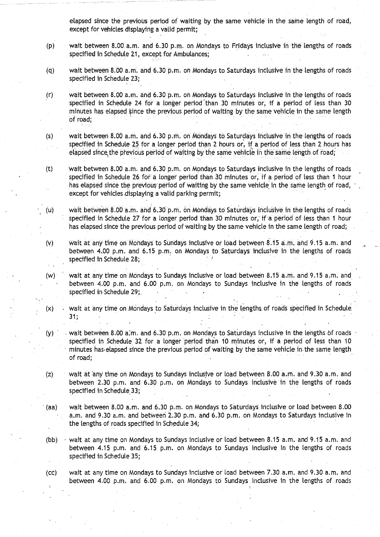elapsed since the previous period of waiting by the same vehicle in the same length of road, except for vehicles displaying a valid permit;

- (p) wait between 8 .00. a .m . and 6 .30 p.m. on Mondays to Fridays inclusive in the lengths of roads specified in Schedule 21, except for Ambulances;
- (q) wait between 8.00 a .m. and 6.30 p.m . on Mondays to Saturdays inclusive in the lengths of roads specified in Schedule 23;
- (r) wait between 8.00 a .m . and 6 .30 p.m . on Mondays to Saturdays inclusive in the lengths of roads specified in Schedule 24 for a longer period than 30 minutes or, if a period of less than 30 minutes has elapsed ljince the previous period of waiting by the same vehicle in the same length of road;
- (s) wait between 8.00 a .m . and 6 .30 p .m . on Mondays to Saturdays inclusive in the lengths of roads specified in Schedule 25 for a longer period than 2 hours or, if a period of less than 2 hours has elapsed since the previous period of waiting by the same vehicle in the same length of road;
- (t) wait between 8.00 a.m. and 6.30 p.m. on Mondays to Saturdays inclusive in the lengths of roads specified in Schedule 26 for a longer period than 30 minutes or, if a period of less than 1 hour has elapsed since the previous' period of waiting by the same vehicle in the same length of road, except for vehicles displaying a valid parking permit;
- (u) wait between 8.00 a .m . and **<sup>6</sup> .30** <sup>p</sup> .m . on Mondays to Saturdays inclusive in the lengths of roads specified in Schedule 27 for a longer period than 30 minutes or, if a period of less than 1 hour has elapsed since the previous period of waiting by the same vehicle in the same length of road;
- (v) wait at any time on Mondays to Sundays inclusive or load between 8 .15 a .m . and 9 .15 a.m . and between 4.00 p.m. and 6.15 p.m. on Mondays to Saturdays inclusive in the lengths of roads specified in Schedule 28;
- (w) wait at any time on Mondays to Sundays inclusive or load between 8 .15 a .m. and 9 .15 a.m. and between 4.00 p.m. and 6.00 p.m. on Mondays to Sundays inclusive in the lengths of roads specified in Schedule 29;
- (x) . wait at 'any time on Mondays to Saturdays inclusive in the lengths of roads specified in Schedule . 31 ;
- (y) wait between 8 .00 a:m . and 6.30 p.m . on Mondays to Saturdays inclusive in the lengths of roads specified in Schedule 32 for a longer period than 10 minutes or, if a period of less than 10 minutes has elapsed since the previous period of waiting by the same vehicle in. the same length of road;
- (z) wait at any time on Mondays to Sundays inclusive or load between 8 .00 a.m. and 9 .30 a.m. and between 2.30 p.m. and 6.30 p.m. on Mondays to Sundays inclusive in the lengths of roads specified in Schedule 33;
- (aa) wait between 8.00 a.m. and 6.30 p.m. on Mondays to Saturdays inclusive or load between 8.00 a.m. and 9.30 a.m. and between 2.30 p.m. and 6.30 p.m. on Mondays to Saturdays inclusive in the lengths of roads specified in Schedule 34;
- (bb)  $\rightarrow$  wait at any time on Mondays to Sundays inclusive or load between 8.15 a.m. and 9.15 a.m. and between 4 .15 p.m . and 6 .15 p.m . on Mondays to Sundays inclusive in the lengths of roads specified in Schedule 35;
- (cc) wait at any time on Mondays to Sundays inclusive or load between 7.30 a.m. and 9 .30 a.m. and between 4 .00 p.m . and 6 .00 p.m . on Mondays to Sundays inclusive in the lengths of roads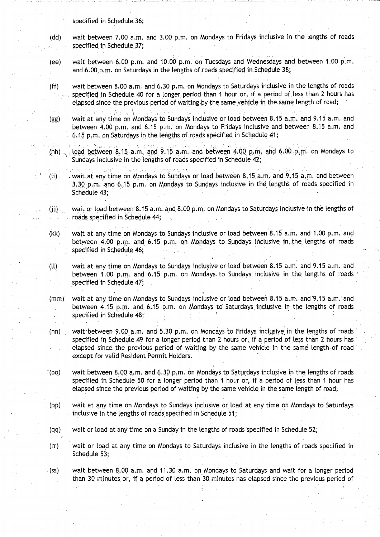#### specified in, Schedule 36;

- **(dd) wait between 7.00 a**. **m. and 3.00 p**.**m. on Mondays to Fridays inclusive in the lengths of roads** specified in Schedule 37;
- (ee) wait between 6.00 p.m. and 10.00 p.m. on Tuesdays and Wednesdays and between 1.00 p.m. **and 6 .00 p.m**. **on Saturdays in the lengths of roads specified in Schedule 38;**
- (ff) wait between 8.00 a.m . and 6.30 p.m . on Mondays to Saturdays inclusive in the lengths of roads **specified in Schedule 40 for a longer period than 1 . .hour or**, **if a period of less than 2 hours has elapsed since the previous pe**ri**od of waiting by the same .vehi**.**cle in the same length of road ;**
- **(gg) wait at any time on Mondays to Sundays inclusive or load between 8 .15 a.m. and 9**. **15 a .m . and** between 4.00 p.m. and 6.15 p.m. on Mondays to Fridays inclusive and between 8.15 a.m. and 6.15 p.m. on Saturdays in the lengths of roads specified in Schedule 41;
- **(hh) load between 8 .15 a.m. and 9**. **15 a.m. and between 4.00 p.m. and 6.00 .p.m. on Mondays to Sundays inclusive in the lengths of roads specified in Schedule 42 ;**
- (ii) . wait at any time on Mondays to Sundays or load between 8 .15 a.m . and 9.15 a .m . and between <sup>3</sup> .30 p.m . and-6.15 p .m. on Mondays to Sundays inclusive in the lengths of roads specified in Schedule 43;
- **(jj) wait or load** between **<sup>8</sup>**. **15•a.m . and 8 .00 pm. on Mondays to Saturdays** inclusive -in **the lengths of** roads specified in Schedule 44;
- (kk) wait at any time on Mondays to Sundays inclusive or load between 8.15 a.m. and 1.00 p.m. and between 4.00 p.m. and 6.15 p.m. on Mondays to Sundays inclusive in the lengths of roads specified in Schedule 46;
- (ll) wait at any time on Mondays to Sundays inclusive or load between 8 .15 a.m. and 9.15 a.m. and between 1.00 p.m. and 6.15 p.m. on Mondays to Sundays inclusive in the lengths of roads specified in Schedule 47;
- (mm) wait at any time on Mondays to Sundays inclusive or load between 8 .15 a .m. and'9.15 a.m.'and between 4.15 p.m. and 6.15 p.m. on Mondays to Saturdays inclusive in the lengths of roads specified in Schedule 48;
- (nn) wait between 9.00 a.m. and 5.30 p.m. on Mondays to Fridays inclusive in the lengths of roads specified in Schedule 49 for a longer period than 2 hours or, if a period of less than 2 hours has elapsed since the previous period of waiting by the same vehicle in the same length of road except for valid Resident Permit Holders.
- (oo) wait between 8.00 a.m. and 6.30 p.m. on Mondays to Saturdays inclusive in the lengths of roads specified in. Schedule 50 for a longer period than 1 hour or, if a period of less than 1 hour has elapsed since the previous period of waiting by the same vehicle in the same length of road;
- (pp) wait at any time on Mondays to Sundays inclusive or load at any time on Mondays to Saturdays **inclusive in the lengths of roads specified in Schedule 51 ;**
- (qq) wait or load at any time on a Sunday in the lengths of roads specified in Schedule 52;
- (rr) wait or load at any time on Mondays to Saturdays inclusive in the lengths of roads specified in Schedule 53;
- (ss) wait between 8.00 a.m. and 11.30 a.m. on Mondays to Saturdays and wait for a longer period than 30 minutes or, if a period of less than 30 minutes has elapsed since the previous period of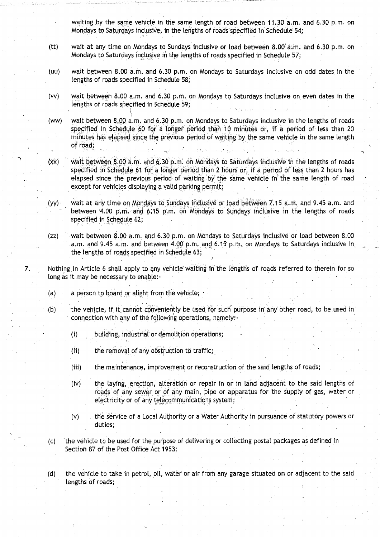**waiting by the same vehicle in the same length of road between 11 .30 a .m. and 6 .30 p.m. on Mondays to Saturdays inclusive, in the lengths of roads specified in Schedule 54 ;**

- **(tt) wait at any time on Mondays to Sundays inclusive or load between 8 .00 a .m . and 6**.**30 p .m . on Mondays**. **to Saturdays inclusive in the lengths of roads specified in Schedule 57 ;**
- **(uu) wait between 8 .00 a .m . and 6 .30 p.m. on Mondays to Saturdays inclusive on odd dates in the lengths of roads specified in Schedule 58 ;**
- **(vv) wait between 8 .00 a.m . and 6 .30 p.m . on Mondays to Saturdays inclusive on . even dates in the lengths of roads specified in Schedule 59;**
- **(ww) wait between 8 .00 a**. **<sup>m</sup>**., **and 6** . **30 p.m**. **on Mondays** to **Saturdays inclusive in the lengths of roads specified in Schedule 60 for a longer period than 10 minutes or** , **if a period of less than 20** minutes has elapsed since the previous period of waiting by the same vehicle in the same length **of road ;**
- (xx) wait between **<sup>8</sup> .00 a**. m . and **<sup>6</sup> .30 p.m . on Mondays to Saturdays inclusive in the lengths of roads specified in Schedule** 61, **for a longer** period. **than 2 hours or, if a period of less than 2 hours has elapsed since the previous period of waiting** by **the same vehicle in the same length of road except for vehicles displaying a valid parking** permit;
- *(yy)* **wait at any time on Mondays to Sundays inclusive or load between 7 .15 a.m.. and 9 .45 a.m . and between 4.00 p.m. and 6;15 p.m**. **on Mondays to** Sundays **inclusive in** t**he lengths of roads specified in Schedule 62;**
- **(zz) wait between 8 .00 a**.**<sup>m</sup> . and 6**.30 p.m. **on Mondays to Saturdays** inclusive **or load between 8 .00 a.m. and 9** . **45 a.m** . and between 4 .00 p. **m. and** <sup>6</sup> .15 **p.m . on Mondays to Saturdays inclusive in. the lengths of roads specified** in Schedule 63;
- **7.** Nothing in Article 6 shall apply to any vehicle waiting in the lengths of roads referred to therein for so long as it may be necessary to enable:-
	- **(a) a person to board or alight from the vehicle;**
	- **(b) the vehicle**, if it **cannot conveniently be used for such purpose in any other road, to be used in' connection** with any of **the following operations**, **namely:-**
		- **(i) building, industrial or demolition operations;**
		- **(ii) the removal of any obstruction to traffic ; .**
		- **(iii) the maintenance** , **improvement or reconstruction of the said lengths of roads ;**
		- **(iv) the laying**, **erection, alteration or repair in or in land adjacent to the said lengths of roads of any sewer or of any main** , **pipe or apparatus for the supply of gas, water or** electricity **or of any telecommunications system ; •**
		- **(v) . the service** of a Local Authority **or a Water** Authority **in pursuance** of statutory powers or **duties;**
	- (c) the vehicle **to be used for the purpose of delivering or collecting postal packages as defined in Section 87** of the Post Office Act 1953;
	- **(d) the vehicle to take in petrol, oil, water or** air from any **garage situated on or adjacent** to the said **lengths of roads;**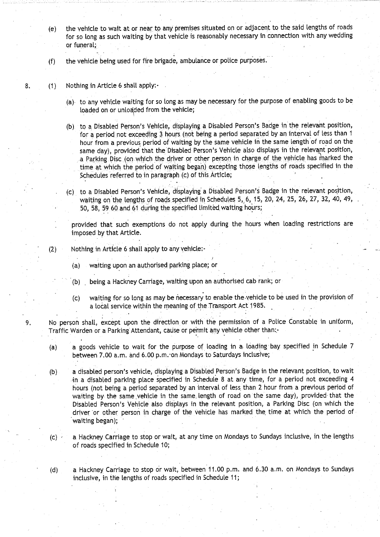**(e) the vehicle to wait at or near**. **to any premises situated on or adjacent to the said lengths of roads** for so long as such waiting by that vehicle is reasonably necessary in connection with any wedding **or funeral;**

**(f) the vehicle being used for fire brigade, ambulance or police purposes .**

- 8. (1) Nothing in Article 6 shall apply:-
	- **(a) to any vehicle waiting for so long as may be necessa** ry **for the purpose of enabling goods to be** loaded on or unloaded from the vehicle;
	- **(b) to a Disabled Person's Vehicle** , **displaying a Disabled Person**'**s Badge in the relevant position,** for a period not exceeding 3 hours (not being a period separated by an interval of less than 1 **hour from a previous period of waiting by the same vehicle in the same length of road on the same day**), **provided that the Disabled Person's Vehicle also displays in the relevant position, a Parking** . **Disc (on** .**which the driver or other person in charge of the vehicle has marked the** time at which the period of waiting began) excepting those lengths of roads specified in the Schedules referred to in paragraph (c) of this Article;
	- **(c) to a Disabled Person's Vehicle** , **displaying a Disabled Person's Badge in the relevant position, waiting on the lengths of roads specified in Schedules 5,, 6, 15, 20** , **24, 25, 26, 27, 32, 40, 49, 50, 58, 59 60 and 61 during the specified limited waiting hours;**

provided that such exemptions do not apply during the hours when **loading** restrictions are imposed by that Article .

 $(2)$  Nothing in Article 6 shall apply to any vehicle:-

- **(a) waiting upon an authorised parking place; or**
- **(b) being a Hackney Carriage, waiting upon an authorised cab rank ; or**
- (c) waiting for so long as may be necessary to enable the-vehicle to be used in the provision of a local service within the meaning of the Transport Act 1985.

<sup>9</sup> . No person shall, except upon the direction or with the permission of a Police Constable in uniform, Traffic Warden or a Parking Attendant, cause or permit any vehicle other than:

- (a) a goods vehicle to wait for the purpose of loading in a- loading bay specified in Schedule 7 between 7.00 a.m. and 6.00 p.m. on Mondays to Saturdays inclusive;
- (b) a disabled person's vehicle, displaying a Disabled Person's Badge in the relevant position, to wait in a disabled parking place specified in Schedule 8 at any time, for a period not exceeding 4 hours (not being a period separated by an interval of less than 2 hour from a previous period of waiting by the same vehicle in the same length of road on the same day), provided that the Disabled Person's Vehicle also displays in the relevant position, a Parking Disc (on which the driver or other person in charge of the vehicle has marked the time at which the period of **waiting began);**
- $(c)$  a Hackney Carriage to stop or wait, at any time on Mondays to Sundays inclusive, in the lengths of roads specified in Schedule 10;

(d) a Hackney Carriage to stop or wait, between 11 .00 p.m . and 6.30 a.m. on Mondays to Sundays inclusive, in the lengths of roads specified in Schedule 11;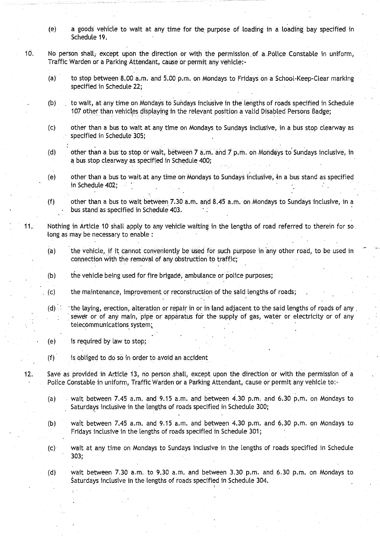- **(e) a goods vehicle to wait at any time for the purpose of loading in a loading bay specified in Schedule 19.**<br> **Schedule 19.**<br> **Schedule 19.**
- 10. No person shall, except upon the direction or with the permission of a Police Constable in uniform, Traffic Warden or a Parking Attendant, cause or permit any vehicle :-
	- (a) to stop between 8.00 a.m . and 5 .00 p.m. on Mondays to Fridays on a School-Keep-Clear marking **specified in Schedule 22;**
	- (b) to wait, at any time on Mondays to Sundays inclusive in the lengths of roads specified in Schedule 107 other than vehicles displaying in the relevant position a valid Disabled Persons Badge;
	- (c) other than a bus to. wait at any time on Mondays to Sundays inclusive, in a bus stop clearway as **specified in Schedule 305 ;**
	- (d) other than a bus to stop or wait, between 7 a.m. and 7 p.m. on Mondays to Sundays inclusive, in **a bus stop clearway as specified in Schedule 400 ;**
	- (e) other than a bus to wait at any time on Mondays to Sundays inclusive, in a bus stand as specified in Schedule 402;
	- (f) other than a bus to wait between 7.30 a.m. and  $8.45$  a.m. on Mondays to Sundays inclusive, in a **bus stand as specified in Schedule 403 .**
- 11. Nothing in Article 10 shall apply to any vehicle waiting in the lengths of road referred to therein for so, long as may be necessary to enable :
	- (a) the vehicle, if it cannot conveniently be used for such purpose in any other road, to be used in connection with the removal of any obstruction to traffic;
	- (b) the vehicle being used for fire brigade, ambulance or police purposes;
	- $(c)$  the maintenance, improvement or reconstruction of the said lengths of roads;
	- **(d) . the laying** , **erection, alteration or repair in or in land adjacent to the said lengths of roads of any ,** sewer or of any main, pipe or apparatus for the supply of gas, water or electricity or of any **telecommunications** system;.
	- (e) is required by law to stop;
	- **(f) is obliged to do so in order to avoid an acciden t**
- 12. Save as provided in Article 13, no person .shalt, except upon the direction or with the permission of a Police Constable in uniform, Traffic Warden or a Parking Attendant, cause or permit any vehicle to:-
	- (a) wait between 7.45 a.m. and 9.15 a.m. and between 4.30 p.m. and 6.30 p.m. on Mondays to Saturdays inclusive in the lengths of roads specified in Schedule 300;
	- (b) wait between 7.45 a.m. and 9.15 a.m. and between 4.30 p.m. and 6.30 p.m. on Mondays to Fridays inclusive in the lengths of roads specified in Schedule 301 ;
	- (c) wait at any time on Mondays to Sundays inclusive in the lengths of roads specified in Schedule 303;
	- (d) wait between  $7.30$  a.m. to  $9.30$  a.m. and between  $3.30$  p.m. and  $6.30$  p.m. on Mondays to Saturdays inclusive in the lengths of roads specified in Schedule 304 .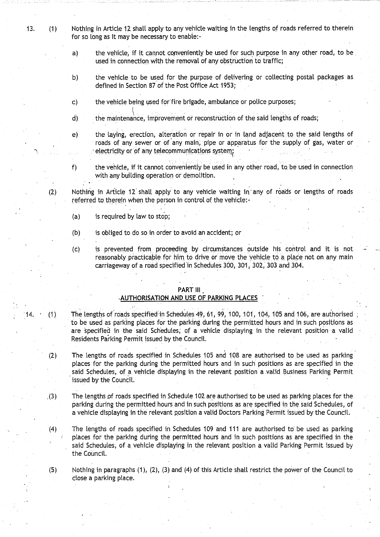<sup>13</sup> . (1) Nothing in Article 12 shall apply to any vehicle waiting in the lengths of roads referred to therein for so long as it may be necessary to enable:-

- a) the vehicle, if it cannot conveniently be used for such purpose in any other road, to be used in connection with the removal of any obstruction to traffic;
- b) the vehicle to be used for the purpose of delivering or collecting postal packages as defined in Section 87 of the Post Office Act 1953;
- c) the vehicle being used for'fire brigade, ambulance or police purposes;
- d) the maintenance, improvement or reconstruction of the said lengths of roads ;
- e) the laying, erection, alteration or repair in or in land adjacent to the said lengths of roads of any sewer or of any main, pipe or apparatus for the supply of gas, water or electricity or of any telecommunications system

f) the vehicle, if it cannot conveniently be used in any other road, to, be used in connection with any building operation or demolition.

(2) Nothing in Article 12 shall apply to any vehicle waiting in any of roads or lengths of roads referred to therein when the person in control of the vehicle:-

- $(a)$  is required by law to stop;
- (b) is obliged to do so in order to avoid an accident; or
- (c) is prevented from proceeding by circumstances outside his control and it is not reasonably practicable for him to drive or move the vehicle to a place not on any main carriageway of a road specified in Schedules 300, 301, 302, 303 and 304.

### PART III

#### AUTHORISATION AND USE OF PARKING PLACES

- 14. (1) The lengths of roads specified in Schedules 49, 61, 99, 100, 101, 104, 105 and 106, are authorised to be used as parking places for the parking during the permitted hours and in such positions as are specified in the said Schedules, of a vehicle displaying in the relevant position a valid Residents Parking Permit issued by the Council.
	- (2) The lengths of roads specified in Schedules 105 and 108 are authorised to be used as parking places for the parking during the permitted hours and in such positions as are specified in the said Schedules, of a vehicle displaying in the relevant position a valid Business Parking Permit issued by the Council.
	- .(3) The lengths of roads specified in Schedule 102 are authorised to be used as parking places for the parking during the permitted hours and in such positions as are specified in the said Schedules, of a vehicle displaying in the relevant position a valid Doctors Parking Permit issued by the Council .

(4) The lengths of roads specified in Schedules 109 and 111 are authorised to be used as parking places for the parking during the permitted hours and in such positions as are specified in the said Schedules, of a vehicle displaying in the relevant position a valid Parking Permit issued by the Council.

 $(5)$  Nothing in paragraphs  $(1)$ ,  $(2)$ ,  $(3)$  and  $(4)$  of this Article shall restrict the power of the Council to close a parking place.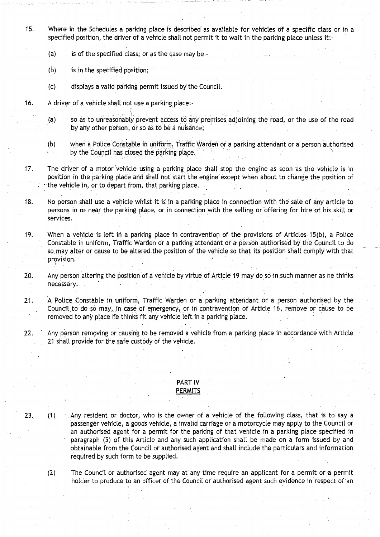- 15. Where in the **Schedules a parking place** is described **as available** for vehicles of a specific **class or in a** specified position, the driver of a vehicle shall not permit it to wait in the **parking place unless it:-**
	- **(a) is of** the specified **class**; **or as the case may be -**
	- (b) is in the specified **position;**
	- (c) displays a valid 'parking permit issued by the Council .
- 16. A driver of a vehicle shall **not use a parking** place-.-
	- (a) **so as to unreasonably** prevent access to any premises adjoining the road, or the use of the road by any other person, or so as to be a **nuisance;**
	- (b) when a Police Constable in Uniform, Traffic Warden or a parking attendant or a person authorised by the Council **has closed** the parking place .
- 17. The driver of a motor vehicle using **a parking place** shalt stop the **engine as soon** as the vehicle is in position in the parking place **and shall** hot start **the engine** except when about to change the position of the vehicle in, or to depart from, that parking place.
- 18. No person shall use a vehicle whilst it is in a parking place in connection with the sale of any article to persons in or near the **parking place**, or in connection with the selling or \*offering for hire of his skill or services.
- 19 . When a vehicle is left in a parking place in contravention of the provisions of Articles .15(b), a Police Constable in uniform, Traffic Warden or **a par**king attendant or a person authorised by the Council to do so may alter or cause to be altered the position of the vehicle so that its position shall comply with that provision
- 20. Any person altering the position of a vehicle by virtue of Article 19 may do so in such manner as he thinks necessary.
- 21. A Police Constable in uniform, Traffic Warden or a parking attendant or a person authorised by the Council to do so may, in case of emergency, or in contravention of Article 16, remove or cause to be removed to any place he thinks fit any vehicle left in a parking place .
- 22. Any person removing or causing to be removed a vehicle from a parking place in accordance with Article 21 shall provide for the safe custody of the vehicle.

### PART IV **PERMITS**

- 23. (1) Any resident or doctor, who is the owner of a vehicle of the following **class**, that is to. say a passenger vehicle, **a goods** vehicle, a invalid carriage or a motorcycle may apply to the Council or an authorised agent for a permit for the parking of that vehicle in a parking place specified in paragraph (5) of this Article and any such application shall be made on a form issued by and obtainable from the Council or authorised agent and shall include the particulars and information required by such form to be supplied.
	- (2) The Council or authorised agent may at any time require an applicant for a permit or a permit holder to produce to an officer of the Council or authorised agent such evidence in respect of an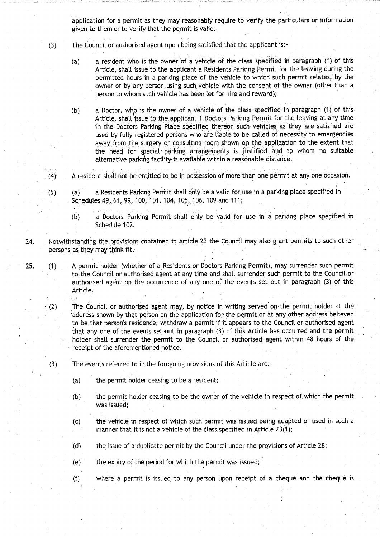application for a permit as they may reasonably require to verify the particulars or information given to them or to verify that the permit is valid.

- (3) The Council. or authorised agent upon being satisfied that the applicant is :-
	- (a) a resident who is the owner of a vehicle of the class specified in paragraph (1) of this Article, shall issue to the applicant a Residents Parking Permit for the leaving during the permitted hours in a parking place of the vehicle to which such permit relates, by the owner or by any person using such vehicle with the consent of the owner (other than a person to whom such vehicle has been let for hire and reward);
	- (b) a Doctor, who is the owner of a vehicle of the class specified in paragraph (1) of this Article, shall issue to the applicant 1 Doctors Parking Permit for the leaving at any time in the Doctors Parking Place specified thereon such- vehicles as they are satisfied are used by fully registered persons who are liable to be called of necessity to emergencies away from the surgery or consulting room shown on the application to the extent that the need for ecial• parking arrangements is justified and tp whom no suitable alternative parking facility is available within a reasonable distance .
- (4} A resident shall hot be entitled to be in possession of more than one permit at any one occasion.
- (5) (a) a Residents Parking Permit shall only be a valid for use in a parking place specified in Schedules 49, 61, 99, 100, 101, 104, 105, 106, 109 and 111;
	- (b) a Doctors Parking Permit shalt only be valid for use in a parking place specified in Schedule 102.
- 24. Notwithstanding the provisions contained in Article 23 the Council may also-grant permits to such other persons as they may think fit.
- 25. (1) A permit holder (whether of a Residents or Doctors Parking Permit), may surrender such permit to, the Council or authorised agent at any time and shall surrender such permit to the Council or authorised agent on the occurrence of any one of the events set out in paragraph (3) of this Article.
	- $(2)$  The Council or authorised agent may, by notice in writing served on the permit holder at the address shown by that person on the application for the permit or at any other address believed to be that person's residence, withdraw a permit if it appears to the Council or authorised agent that any one of the events set 'out in paragraph (3) of this Article has occurred and the permit holder shall surrender the permit to the Council or authorised agent within 48 hours of the receipt of the aforementioned notice .
	- (3) The events referred to in the foregoing provisions of this Article are :-
		- (a) the permit holder ceasing to be a resident;
		- (b) the permit holder ceasing to be the owner of the vehicle in respect of . which the permit was issued;
		- (c) the vehicle in respect of which such permit was issued being adapted or used in such a manner that it is not a vehicle of the class specified in Article 23(1);
		- (d) the issue of a duplicate permit by the Council under the provisions of Article 28;
		- (e) the expiry of the period for which the permit was issued;
		- (f) where a permit is issued to any person upon receipt of a cheque and the cheque is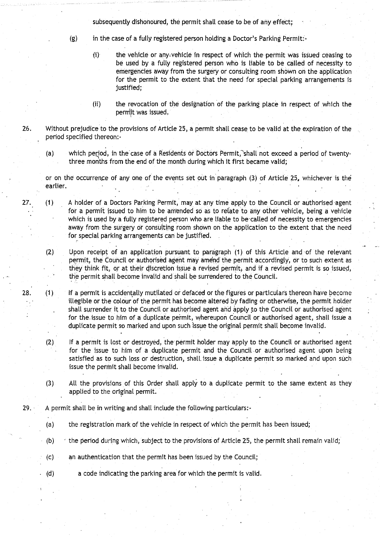subsequently dishonoured, the permit shall cease to be of any effect;

(g) in the case of a fully registered person holding a Doctor's Parking Permit:-

- $(i)$  the vehicle or any vehicle in respect of which the permit was issued ceasing to be used by a fully registered person who is liable to be called of necessity to emergencies away from the surgery or consulting room shown on the application for the permit to the extent that the need for special parking arrangements is justified;
- (ii) the revocation of the designation of the parking place in respect of which the permit was issued.

26. Without prejudice to the provisions of Article 25, a permit shall cease to be valid at the expiration of the period specified thereon:-

(a) which period, in the case of a Residents or Doctors Permit, shall not exceed a period of twentythree months from the end of the month during which it first became valid;

or on the occurrence of any one of the events set out in paragraph (3) of Article 25, whichever is the earlier.

27. (1) A holder of a Doctors Parking Permit, may at any time apply to the Council or authorised agent for a permit issued to him to be amended so as to relate to any other vehicle, being a vehicle which is used by a fully registered person who are liable to be called of necessity to emergencies away from the surgery or consulting room shown on the application to the extent that the need for special parking arrangements can be justified.

(2) Upon receipt of an application pursuant to paragraph (1) of this Article and of the relevant permit, the Council or authorised agent may amend the permit accordingly, or to such extent as they think fit, or at their discretion issue a revised permit) and if a revised permit is so issued, the permit shall become invalid and shall be surrendered to the Council.

28. (1) If a permit is accidentally mutilated or defaced or the figures or particulars thereon have become illegible or the colour of the permit has become altered by fading or otherwise, the permit holder shall surrender it to the Council or authorised **agent and** apply to the Council or authorised agent for the issue to him of a duplicate permit, whereupon Council or authorised agent, shall issue a duplicate permit so marked and upon such issue the original permit shall become invalid.

(2) If a permit is lost or destroyed, the permit holder may apply to the Council or authorised agent for the issue to him of a duplicate permit and the Council or authorised agent upon being satisfied as to such loss or destruction, shall. issue a duplicate permit so marked and upon such issue the permit shall become invalid.

- (3) All the provisions of this Order shall apply to a duplicate permit to the same extent as they applied to the original permit.
- 29. A permit shall be in writing and shall include the following particulars:-
	- (a) the registration mark of the vehicle in respect of which the permit has been issued;
	- (b)  $\rightarrow$  the period during which, subject to the provisions of Article 25, the permit shall remain valid;
	- (c) an authentication that the permit has been issued by the Council;
	- (d) a code indicating the parking area for which the permit is valid .

 $\ddot{\ddot{\varepsilon}}$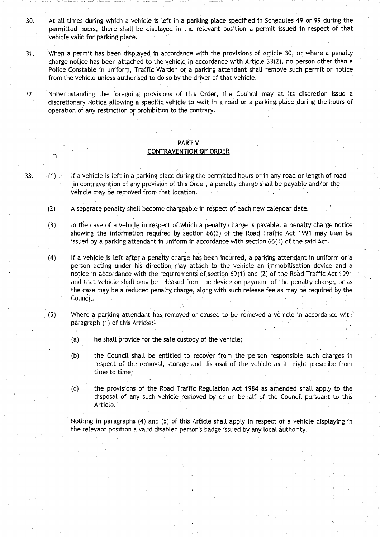- 30. At all times during which a vehicle is left in a parking place specified in Schedules 49 or 99 during the permitted hours, there shall be displayed in the relevant position a permit issued in respect of that vehicle valid for parking place.
- <sup>31</sup> . When a permit has been displayed in accordance with the provisions of Article 30, or where a penalty charge notice has been attached to the vehicle in accordance with Article 33(2), no person other than a Police Constable in uniform, Traffic Warden or a parking attendant shall remove such permit or notice from the vehicle unless authorised to do so by the driver of that vehicle .
- 32. Notwithstanding the foregoing provisions of this Order, the Council may at its discretion issue a discretionary Notice allowing a specific vehicle to wait in a road or a parking. place during the hours of operation of any restriction or prohibition to the contrary.

## PART V

### **CONTRAVENTION OF ORDER**

- 33. (1) . If a vehicle is left in a parking place during the permitted hours or in any road or length of road in contravention of any provision of this Order, a penalty charge shall be payable and/or the vehicle may be removed from that location .
	- (2) A separate penalty shall become chargeable in respect of each new calendar date.
	- (3) In the case of a vehicle in respect of .which a penalty charge is payable, a penalty charge notice showing the information required by section 66(3) of the Road Traffic Act 1991 may then be issued by a .parking attendant in uniform in accordance With section 66(1) of the said Act.
	- (4) If a vehicle is left after a penalty charge has been incurred, a parking attendant in uniform or a person acting under his direction may attach to the vehicle an immobilisation device and a notice in accordance with the requirements of section 69(1) and (2) of the Road Traffic Act 1991 and that vehicle shalt only be released from the device on payment of the penalty charge, or as the case may be a reduced penalty charge, alpng with such release fee as may be required by the Council.
	- (5) Where a parking attendant has removed or caused to be removed a vehicle in accordance with paragraph (1) of this Article:-
		- (a) he shall provide for the safe custody of the vehicle;
		- (b) the Council shall be entitled to recover from the person responsible such charges in respect of the removal, storage and disposal of the vehicle as it might prescribe from time to time;
		- (c) the provisions of the Road Traffic Regulation Act 1984 as amended shall apply to the disposal of any such vehicle removed by or on behalf of the Council pursuant to this • Article.

Nothing in paragraphs (4) and (5) of this Article shall apply in respect of a vehicle displaying in the relevant position a valid disabled person's badge issued by any local authority .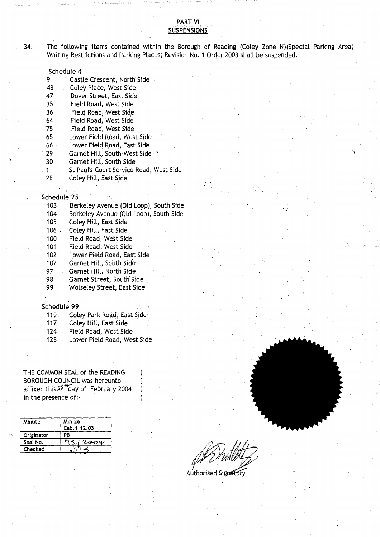### PART VI **SUSPENSIONS**

34. The following **items contained** within the Borough **of Reading** (Coley Zone N)(Special Parking Area) Waiting Restrictions and Parking Places) Revision No. 1 Order 2003 shall be suspended.

#### **Schedule 4**

| 9 |  | Castle Crescent, North Side |
|---|--|-----------------------------|
|   |  |                             |

48 Coley Place, West Side

47 Dover Street**, East Side**

- 35 Field Road, West Side
- Field Road, West Side
- 64 Field Road, West Side
- 75 Field Road, West Side
- 65 Lower Field **Road**, West Side
- 66 Lower Field **Road**, East Side .
- Garnet Hill, South-West Side
- 30 Garnet Hill, South Side
- 1 St Paul's Court Service Road, West Side
- 28 Coley Hill, East Side

#### **Schedule 2 5**

| 103 | Berkeley Avenue (Old Loop), South Side |
|-----|----------------------------------------|
| 104 | Berkeley Avenue (Old Loop), South Side |
| 105 | Coley Hill, East Side                  |
| 106 | Coley Hill, East Side                  |
| 100 | Field Road, West Side                  |
| 101 | Field Road, West Side                  |
| 102 | Lower Field Road, East Side            |
| 107 | Garnet Hill, South Side                |
| 97  | Garnet Hill, North Side                |
| 98  | Garnet Street, South Side              |
| 99  | <b>Wolseley Street, East Side</b>      |

#### **Schedule 9 9**

- 119. Coley Park Road, East Side
- 117 Coley Hill, East Side
- 124 Field Road, West Side
- 128 Lower.Field Road, West Side

<sup>5</sup> ) .

THE COMMON SEAL of the READING BOROUGH COUNCIL was hereunto affixed this  $25\%$  day of February 2004 in the presence of:

| Minute     | Min 26       |  |
|------------|--------------|--|
|            | Cab. 1.12.03 |  |
| Originator | ΡB           |  |
| Seal No.   | てののル         |  |
| Checked    |              |  |

Authorised Signator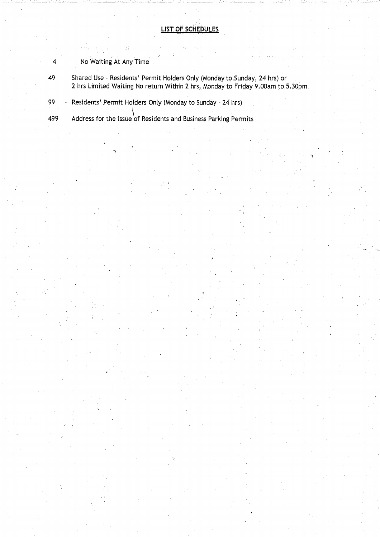# 4 No Waiting At Any Time

49 Shared Use - Residents' Permit Holders Only (Monday to Sunday, 24 hrs) or 2 hrs Limited Waiting No return Within 2 hrs, Monday to Friday 9 .00am to 5.30pm

99 - Residents' Permit Holders Only (Monday to Sunday - 24 hrs)

499 Address for the issue of Residents **and Business** Parking Permits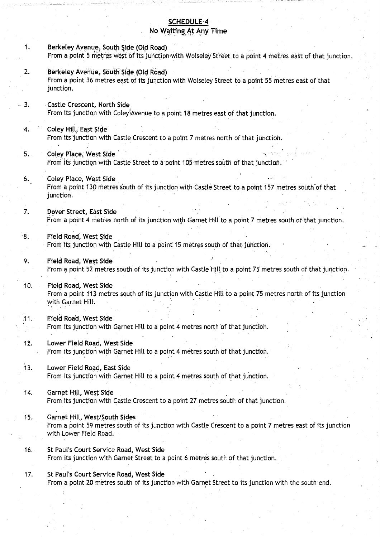# **SCHEDULE 4 No Waiting**•AtAny Time

**<sup>1</sup> . Berkeley Avenue**, **South Side** (**Old Road)** From a point 5 metres west of its junction with Wolseley Street to a point 4 metres east of that junction. **2. Berkeley** Avenue, **South Side (Old Road)** From a point 36 metres **east of its** junction with Wolseley Street **to a point 55** metres east of that junction. **<sup>3</sup> . Castle Crescent**, **North Side** From its junction with Coley4venue **to a point 18 metres east** of that junction. 4. Coley Hill, **East Side** From its junction with Castle Crescent to a point 7 metres north of that junction.<br> **5. Coley Place, West Side** 19, 1991, 1995, 1991, 1995, 1991, 1995, 1991, 1996, 1991, 1992, 1999, 1992, 1992, 1992, 1992, 1992, 1992, 19 From its junction with Castle Street to **a point 105 metres** south of that junction. **<sup>6</sup> . Coley Place**, **West Side** From a point 130 metres south of its junction with Castle Street to a point 157 metres south'of that junction. 7. Dover **Street, East Side** From a point 4 metres north of its junction with Garnet Hill to a point 7 metres south of that junction . **<sup>8</sup> . Field Road** , West **Side** From its junction with Castle Hill to a point 15 metres south of that junction. **<sup>9</sup> . Field Road**, West Side From a point 52 metres south of its junction with Castle Hill to a point 75 metres south of that junction. **10. Field Road**, **West Side** From a point 113 metres sQuth of its junction with Castle Hill to a point 75 metres north of its junction with Garnet Hill. **<sup>11</sup> . Field Road**, West Side From its junction with Garnet Hill to a point 4 metres north of that junction. 12. Lower **Field Road**, **West Side** From its junction with Garnet Hill to a point 4 metres south of that junction. <sup>13</sup> . Lower **Field Road**, **East Side** From its junction with Garnet Hill to a point 4 metres south of that junction. 14. Garnet **Hill, West Side** From its junction with Castle Crescent to a point 27 metres south of that junction. **15.. Garnet Hill** , West/**South Side s** From a point 59 metres south of its junction with Castle Crescent to a point 7 metres east of its junction with Lower Field Road. **16. St Paul's Court** Service **Road**, **West Side** From its junction with Garnet Street to a point 6 metres south of that junction . 17. St Paul's Court Service Road, West Side .From a point 20 metres south of its junction with Garnet Street to its junction with the south end .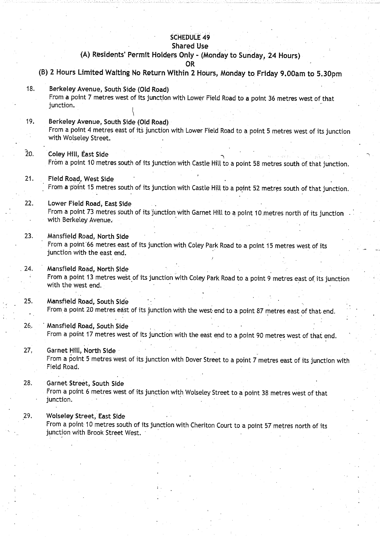# **SCHEDULE 49**

### **Shared Use**

# **(A) Residents**' **Permit Holders Only - (Monday to Sunday** , 24 Hours)

**OR**

- **(B) 2 Hours Limited Waiting No Return Within 2 Hours** , **Monday to**. Friday **9 .00am to 5.30pm**
- **<sup>18</sup> . Berkeley Avenue**, **South Side** (**Old Road)** From a point 7 metres west of its junction with Lower Field Road to **a point 36** metres west of that junction.
- **<sup>19</sup> . Berkeley Avenue, South Side** (**Old Road)** From a point 4 metres east of its junction with Lower Field Road to a point 5 metres west of its junction with Wolseley Street.

~0. Coley Hill, **East Side** From a point 10 metres south of its junction with, Castle Hill to a point **58 metres** south of that junction .

- <sup>21</sup> . Field **Road, West Side** From a point 15 metres south of its junction with Castle Hill to .a point 52 metres south of that junction.
- 22. Lower **Field Road** , **East Side** From a point 73 metres south of its junction with Garnet Hill to a point 10 metres north of its junction with Berkeley Avenue.
- 23. Mansfield **Road**, **North Side** From a point 66 metres east of its junction with Coley Park Road to a point 15 metres west of its junction with the east end.
- 24. Mansfield **Road**, **North Side** From a point 13 metres west of its junction with Coley Park Road to a point 9 metres east of its junction with the west end.
- 25. Mansfield Road, South Side From a point 20 metres east of its junction with the west end to a point 87 metres east of that end.
- 26.. ' Mansfield **Road**, **South Side** From a point 17 metres west of its junction with the east end to a point 90 metres west of that end.

27, Garnet Hill, North Side From a point 5 metres west of its junction with Dover Street to a point 7 metres east of its junction with Field Road.

**28. Garnet Street, South Side** From a point 6 metres west of its junction with Wolseley Street to a point 38 metres west of that junction.

#### <sup>29</sup> . Wolseley **Street, East Side •**

From a point 10 metres south of its junction with Cheriton Court to a point 57 metres north of its junction with Brook Street West.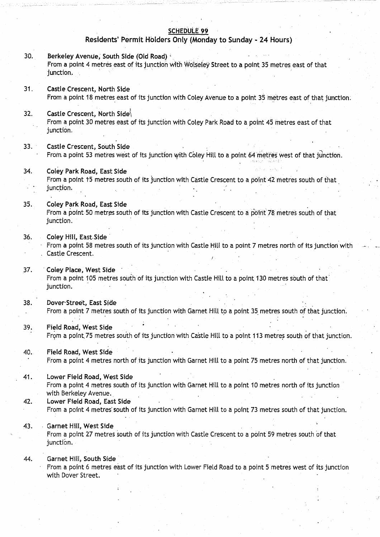### SCHEDULE 99

### Residents' Permit Holders Only (Monday to Sunday - 24 Hours)

- 30. Berkeley Avenue, South Side (Old Road) From a point 4 metres east of its junction with Wolseley Street to a point. 35 metres east of that junction.
- 31. Castle Crescent, North Side From a point 18 metres east of its junction with Coley Avenue to a point 35 metres east of that junction .
- 32. Castle Crescent, North Side From a point 30 metres east of its junction with Coley Park Road to a point 45 metres east of that junction .
- 33. Castle Crescent, South Side From a point 53 metres west of its junction with Coley Hill to a point 64 metres west of that junction.
- 34 . Coley Park Road, East Side From a point t5 metres south of its junction with Castle Crescent to a point 42 metres south of that junction.
- 35. Coley Park Road, East Side From a point 50 metres south of its junction with Castle Crescent to a point 78 metres south of that junction.

#### 36. Coley Hill, East-Side

- From a point 58 metres south of its junction with Castle Hilt to a point 7 metres north of its junction with Castle Crescent.
- 37. Coley Place, West Side From a point 105 metres south of its junction with Castle Hill to a point 130 metres south of that junction.
- 38. Dover-Street, East Side From a point 7 metres south of its junction with Garnet Hill to a point 35 metres south of that junction.
- 39. Field Road, West Side From a point 75 metres south of its junction with Castle Hill to a point 113 metres south of that junction.
- 40. Field Road, West Side From a point 4 metres north of its junction with Garnet Hill to a point 75 metres north of that junction .
- 41 . Lower Field Road, West Side From a point 4 metres south of its junction with Garnet Hill to a point 10 metres north of its junction with Berkeley Avenue. 42. Lower Field Road, East Side
- From a point 4 metres south of its junction with Garnet Hill to a point 73 metres south of that junction .
- 43. Garnet Hill, West Side

From a point 27 metres south of its junction with Castle Crescent to a point 59 metres south of that junction.

44. Garnet Hill, South Side

From a point 6 metres east of its junction with Lower Field Road to a point 5 metres west of its junction with Dover Street.